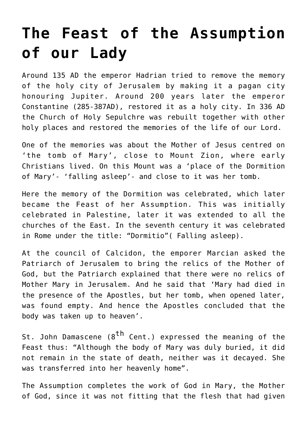## **[The Feast of the Assumption](https://www.mariakumar.org/2015/08/13/the-feast-of-the-assumption-of-our-lady/) [of our Lady](https://www.mariakumar.org/2015/08/13/the-feast-of-the-assumption-of-our-lady/)**

Around 135 AD the emperor Hadrian tried to remove the memory of the holy city of Jerusalem by making it a pagan city honouring Jupiter. Around 200 years later the emperor Constantine (285-387AD), restored it as a holy city. In 336 AD the Church of Holy Sepulchre was rebuilt together with other holy places and restored the memories of the life of our Lord.

One of the memories was about the Mother of Jesus centred on 'the tomb of Mary', close to Mount Zion, where early Christians lived. On this Mount was a 'place of the Dormition of Mary'- 'falling asleep'- and close to it was her tomb.

Here the memory of the Dormition was celebrated, which later became the Feast of her Assumption. This was initially celebrated in Palestine, later it was extended to all the churches of the East. In the seventh century it was celebrated in Rome under the title: "Dormitio"( Falling asleep).

At the council of Calcidon, the emporer Marcian asked the Patriarch of Jerusalem to bring the relics of the Mother of God, but the Patriarch explained that there were no relics of Mother Mary in Jerusalem. And he said that 'Mary had died in the presence of the Apostles, but her tomb, when opened later, was found empty. And hence the Apostles concluded that the body was taken up to heaven'.

St. John Damascene (8<sup>th</sup> Cent.) expressed the meaning of the Feast thus: "Although the body of Mary was duly buried, it did not remain in the state of death, neither was it decayed. She was transferred into her heavenly home".

The Assumption completes the work of God in Mary, the Mother of God, since it was not fitting that the flesh that had given